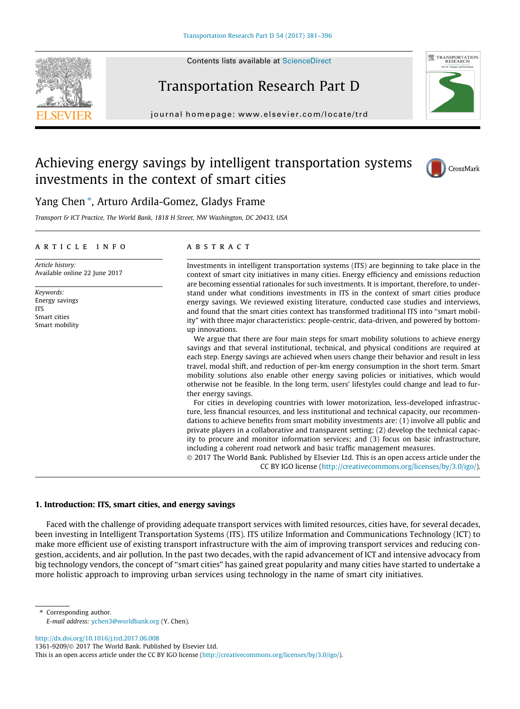Contents lists available at [ScienceDirect](http://www.sciencedirect.com/science/journal/13619209)





## Transportation Research Part D

journal homepage: [www.elsevier.com/locate/trd](http://www.elsevier.com/locate/trd)

## Achieving energy savings by intelligent transportation systems investments in the context of smart cities



### Yang Chen \*, Arturo Ardila-Gomez, Gladys Frame

Transport & ICT Practice, The World Bank, 1818 H Street, NW Washington, DC 20433, USA

#### article info

Article history: Available online 22 June 2017

Keywords: Energy savings ITS Smart cities Smart mobility

#### **ABSTRACT**

Investments in intelligent transportation systems (ITS) are beginning to take place in the context of smart city initiatives in many cities. Energy efficiency and emissions reduction are becoming essential rationales for such investments. It is important, therefore, to understand under what conditions investments in ITS in the context of smart cities produce energy savings. We reviewed existing literature, conducted case studies and interviews, and found that the smart cities context has transformed traditional ITS into ''smart mobility" with three major characteristics: people-centric, data-driven, and powered by bottomup innovations.

We argue that there are four main steps for smart mobility solutions to achieve energy savings and that several institutional, technical, and physical conditions are required at each step. Energy savings are achieved when users change their behavior and result in less travel, modal shift, and reduction of per-km energy consumption in the short term. Smart mobility solutions also enable other energy saving policies or initiatives, which would otherwise not be feasible. In the long term, users' lifestyles could change and lead to further energy savings.

For cities in developing countries with lower motorization, less-developed infrastructure, less financial resources, and less institutional and technical capacity, our recommendations to achieve benefits from smart mobility investments are: (1) involve all public and private players in a collaborative and transparent setting; (2) develop the technical capacity to procure and monitor information services; and (3) focus on basic infrastructure, including a coherent road network and basic traffic management measures.

 2017 The World Bank. Published by Elsevier Ltd. This is an open access article under the CC BY IGO license [\(http://creativecommons.org/licenses/by/3.0/igo/\)](http://creativecommons.org/licenses/by/3.0/igo/).

#### 1. Introduction: ITS, smart cities, and energy savings

Faced with the challenge of providing adequate transport services with limited resources, cities have, for several decades, been investing in Intelligent Transportation Systems (ITS). ITS utilize Information and Communications Technology (ICT) to make more efficient use of existing transport infrastructure with the aim of improving transport services and reducing congestion, accidents, and air pollution. In the past two decades, with the rapid advancement of ICT and intensive advocacy from big technology vendors, the concept of ''smart cities" has gained great popularity and many cities have started to undertake a more holistic approach to improving urban services using technology in the name of smart city initiatives.

⇑ Corresponding author. E-mail address: [ychen3@worldbank.org](mailto:ychen3@worldbank.org) (Y. Chen).

<http://dx.doi.org/10.1016/j.trd.2017.06.008>

1361-9209/© 2017 The World Bank. Published by Elsevier Ltd.

This is an open access article under the CC BY IGO license (<http://creativecommons.org/licenses/by/3.0/igo/>).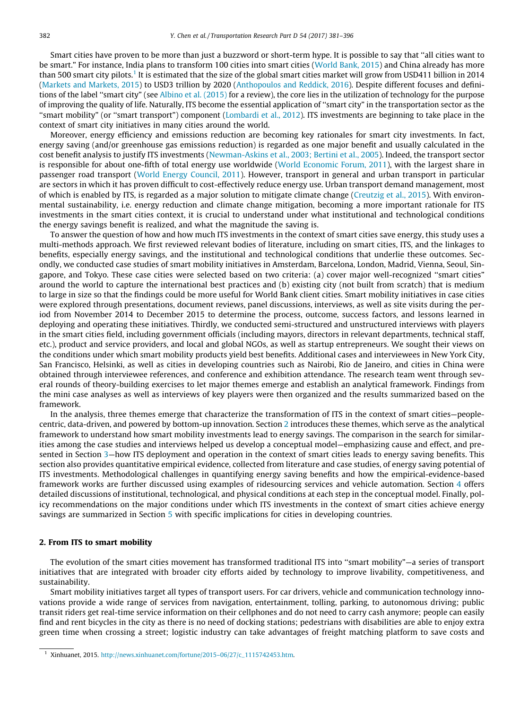Smart cities have proven to be more than just a buzzword or short-term hype. It is possible to say that ''all cities want to be smart." For instance, India plans to transform 100 cities into smart cities (World Bank, 2015) and China already has more than 500 smart city pilots.<sup>1</sup> It is estimated that the size of the global smart cities market will grow from USD411 billion in 2014 (Markets and Markets, 2015) to USD3 trillion by 2020 (Anthopoulos and Reddick, 2016). Despite different focuses and definitions of the label ''smart city" (see Albino et al. (2015) for a review), the core lies in the utilization of technology for the purpose of improving the quality of life. Naturally, ITS become the essential application of ''smart city" in the transportation sector as the ''smart mobility" (or ''smart transport") component (Lombardi et al., 2012). ITS investments are beginning to take place in the context of smart city initiatives in many cities around the world.

Moreover, energy efficiency and emissions reduction are becoming key rationales for smart city investments. In fact, energy saving (and/or greenhouse gas emissions reduction) is regarded as one major benefit and usually calculated in the cost benefit analysis to justify ITS investments (Newman-Askins et al., 2003; Bertini et al., 2005). Indeed, the transport sector is responsible for about one-fifth of total energy use worldwide (World Economic Forum, 2011), with the largest share in passenger road transport (World Energy Council, 2011). However, transport in general and urban transport in particular are sectors in which it has proven difficult to cost-effectively reduce energy use. Urban transport demand management, most of which is enabled by ITS, is regarded as a major solution to mitigate climate change (Creutzig et al., 2015). With environmental sustainability, i.e. energy reduction and climate change mitigation, becoming a more important rationale for ITS investments in the smart cities context, it is crucial to understand under what institutional and technological conditions the energy savings benefit is realized, and what the magnitude the saving is.

To answer the question of how and how much ITS investments in the context of smart cities save energy, this study uses a multi-methods approach. We first reviewed relevant bodies of literature, including on smart cities, ITS, and the linkages to benefits, especially energy savings, and the institutional and technological conditions that underlie these outcomes. Secondly, we conducted case studies of smart mobility initiatives in Amsterdam, Barcelona, London, Madrid, Vienna, Seoul, Singapore, and Tokyo. These case cities were selected based on two criteria: (a) cover major well-recognized ''smart cities" around the world to capture the international best practices and (b) existing city (not built from scratch) that is medium to large in size so that the findings could be more useful for World Bank client cities. Smart mobility initiatives in case cities were explored through presentations, document reviews, panel discussions, interviews, as well as site visits during the period from November 2014 to December 2015 to determine the process, outcome, success factors, and lessons learned in deploying and operating these initiatives. Thirdly, we conducted semi-structured and unstructured interviews with players in the smart cities field, including government officials (including mayors, directors in relevant departments, technical staff, etc.), product and service providers, and local and global NGOs, as well as startup entrepreneurs. We sought their views on the conditions under which smart mobility products yield best benefits. Additional cases and interviewees in New York City, San Francisco, Helsinki, as well as cities in developing countries such as Nairobi, Rio de Janeiro, and cities in China were obtained through interviewee references, and conference and exhibition attendance. The research team went through several rounds of theory-building exercises to let major themes emerge and establish an analytical framework. Findings from the mini case analyses as well as interviews of key players were then organized and the results summarized based on the framework.

In the analysis, three themes emerge that characterize the transformation of ITS in the context of smart cities—peoplecentric, data-driven, and powered by bottom-up innovation. Section 2 introduces these themes, which serve as the analytical framework to understand how smart mobility investments lead to energy savings. The comparison in the search for similarities among the case studies and interviews helped us develop a conceptual model—emphasizing cause and effect, and presented in Section 3—how ITS deployment and operation in the context of smart cities leads to energy saving benefits. This section also provides quantitative empirical evidence, collected from literature and case studies, of energy saving potential of ITS investments. Methodological challenges in quantifying energy saving benefits and how the empirical-evidence-based framework works are further discussed using examples of ridesourcing services and vehicle automation. Section 4 offers detailed discussions of institutional, technological, and physical conditions at each step in the conceptual model. Finally, policy recommendations on the major conditions under which ITS investments in the context of smart cities achieve energy savings are summarized in Section 5 with specific implications for cities in developing countries.

#### 2. From ITS to smart mobility

The evolution of the smart cities movement has transformed traditional ITS into ''smart mobility"—a series of transport initiatives that are integrated with broader city efforts aided by technology to improve livability, competitiveness, and sustainability.

Smart mobility initiatives target all types of transport users. For car drivers, vehicle and communication technology innovations provide a wide range of services from navigation, entertainment, tolling, parking, to autonomous driving; public transit riders get real-time service information on their cellphones and do not need to carry cash anymore; people can easily find and rent bicycles in the city as there is no need of docking stations; pedestrians with disabilities are able to enjoy extra green time when crossing a street; logistic industry can take advantages of freight matching platform to save costs and

<sup>&</sup>lt;sup>1</sup> Xinhuanet, 2015. http://news.xinhuanet.com/fortune/2015-06/27/c\_1115742453.htm.